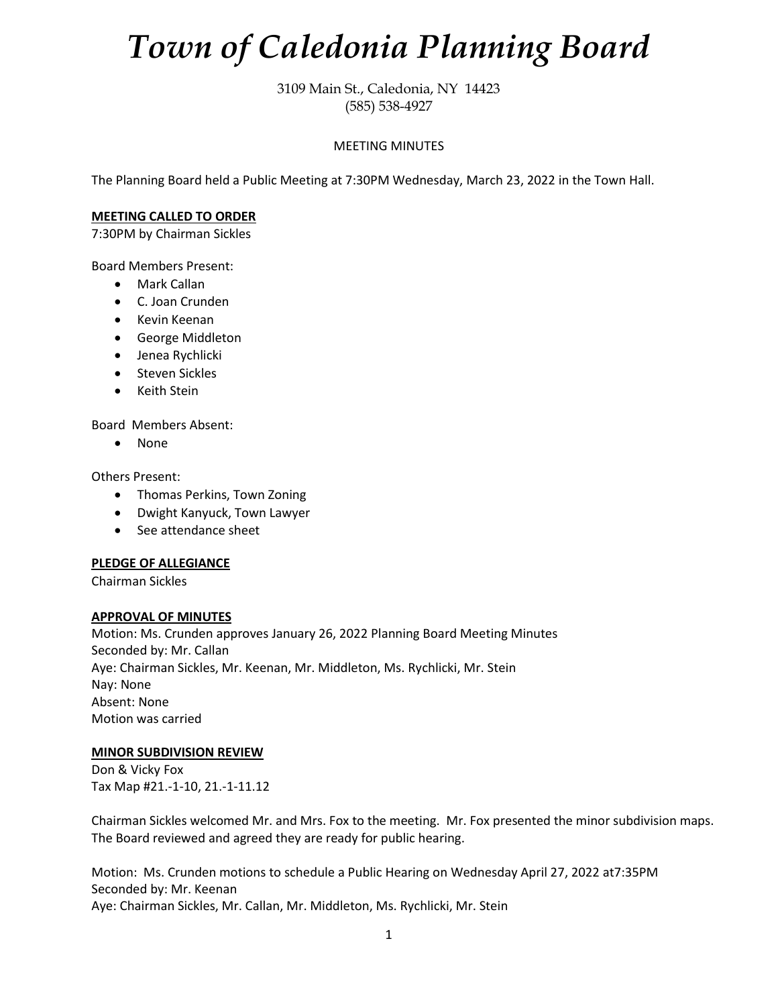# *Town of Caledonia Planning Board*

3109 Main St., Caledonia, NY 14423 (585) 538-4927

## MEETING MINUTES

The Planning Board held a Public Meeting at 7:30PM Wednesday, March 23, 2022 in the Town Hall.

### **MEETING CALLED TO ORDER**

7:30PM by Chairman Sickles

Board Members Present:

- Mark Callan
- C. Joan Crunden
- Kevin Keenan
- George Middleton
- Jenea Rychlicki
- Steven Sickles
- Keith Stein

Board Members Absent:

• None

Others Present:

- Thomas Perkins, Town Zoning
- Dwight Kanyuck, Town Lawyer
- See attendance sheet

#### **PLEDGE OF ALLEGIANCE**

Chairman Sickles

#### **APPROVAL OF MINUTES**

Motion: Ms. Crunden approves January 26, 2022 Planning Board Meeting Minutes Seconded by: Mr. Callan Aye: Chairman Sickles, Mr. Keenan, Mr. Middleton, Ms. Rychlicki, Mr. Stein Nay: None Absent: None Motion was carried

# **MINOR SUBDIVISION REVIEW**

Don & Vicky Fox Tax Map #21.-1-10, 21.-1-11.12

Chairman Sickles welcomed Mr. and Mrs. Fox to the meeting. Mr. Fox presented the minor subdivision maps. The Board reviewed and agreed they are ready for public hearing.

Motion: Ms. Crunden motions to schedule a Public Hearing on Wednesday April 27, 2022 at7:35PM Seconded by: Mr. Keenan Aye: Chairman Sickles, Mr. Callan, Mr. Middleton, Ms. Rychlicki, Mr. Stein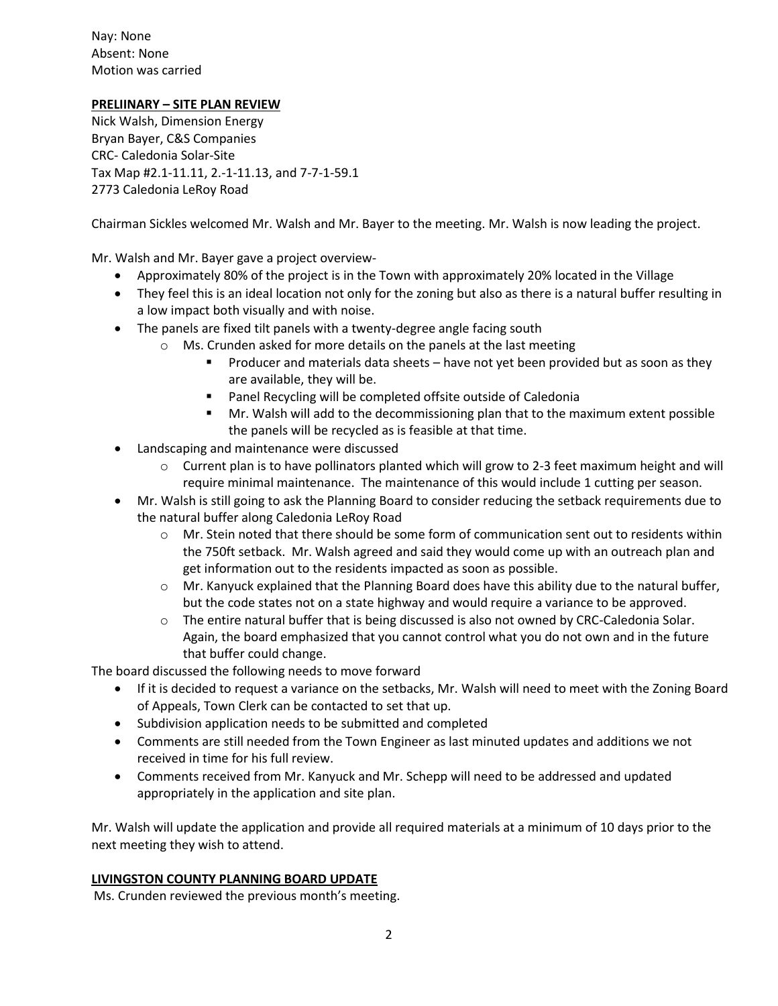Nay: None Absent: None Motion was carried

# **PRELIINARY – SITE PLAN REVIEW**

Nick Walsh, Dimension Energy Bryan Bayer, C&S Companies CRC- Caledonia Solar-Site Tax Map #2.1-11.11, 2.-1-11.13, and 7-7-1-59.1 2773 Caledonia LeRoy Road

Chairman Sickles welcomed Mr. Walsh and Mr. Bayer to the meeting. Mr. Walsh is now leading the project.

Mr. Walsh and Mr. Bayer gave a project overview-

- Approximately 80% of the project is in the Town with approximately 20% located in the Village
- They feel this is an ideal location not only for the zoning but also as there is a natural buffer resulting in a low impact both visually and with noise.
- The panels are fixed tilt panels with a twenty-degree angle facing south
	- $\circ$  Ms. Crunden asked for more details on the panels at the last meeting
		- Producer and materials data sheets have not yet been provided but as soon as they are available, they will be.
		- Panel Recycling will be completed offsite outside of Caledonia
		- **■** Mr. Walsh will add to the decommissioning plan that to the maximum extent possible the panels will be recycled as is feasible at that time.
- Landscaping and maintenance were discussed
	- $\circ$  Current plan is to have pollinators planted which will grow to 2-3 feet maximum height and will require minimal maintenance. The maintenance of this would include 1 cutting per season.
- Mr. Walsh is still going to ask the Planning Board to consider reducing the setback requirements due to the natural buffer along Caledonia LeRoy Road
	- $\circ$  Mr. Stein noted that there should be some form of communication sent out to residents within the 750ft setback. Mr. Walsh agreed and said they would come up with an outreach plan and get information out to the residents impacted as soon as possible.
	- $\circ$  Mr. Kanyuck explained that the Planning Board does have this ability due to the natural buffer, but the code states not on a state highway and would require a variance to be approved.
	- $\circ$  The entire natural buffer that is being discussed is also not owned by CRC-Caledonia Solar. Again, the board emphasized that you cannot control what you do not own and in the future that buffer could change.

The board discussed the following needs to move forward

- If it is decided to request a variance on the setbacks, Mr. Walsh will need to meet with the Zoning Board of Appeals, Town Clerk can be contacted to set that up.
- Subdivision application needs to be submitted and completed
- Comments are still needed from the Town Engineer as last minuted updates and additions we not received in time for his full review.
- Comments received from Mr. Kanyuck and Mr. Schepp will need to be addressed and updated appropriately in the application and site plan.

Mr. Walsh will update the application and provide all required materials at a minimum of 10 days prior to the next meeting they wish to attend.

# **LIVINGSTON COUNTY PLANNING BOARD UPDATE**

Ms. Crunden reviewed the previous month's meeting.